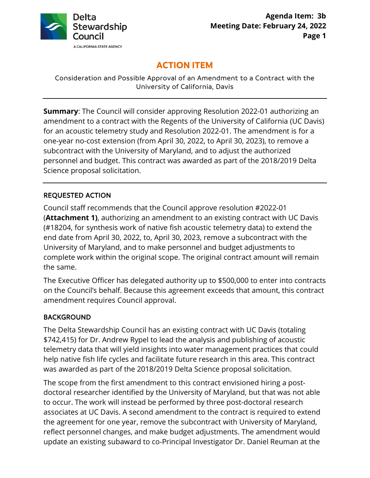

# **ACTION ITEM**

Consideration and Possible Approval of an Amendment to a Contract with the University of California, Davis

**Summary**: The Council will consider approving Resolution 2022-01 authorizing an amendment to a contract with the Regents of the University of California (UC Davis) for an acoustic telemetry study and Resolution 2022-01. The amendment is for a one-year no-cost extension (from April 30, 2022, to April 30, 2023), to remove a subcontract with the University of Maryland, and to adjust the authorized personnel and budget. This contract was awarded as part of the 2018/2019 Delta Science proposal solicitation.

# REQUESTED ACTION

 (**Attachment 1)**, authorizing an amendment to an existing contract with UC Davis Council staff recommends that the Council approve resolution #2022-01 (#18204, for synthesis work of native fish acoustic telemetry data) to extend the end date from April 30, 2022, to, April 30, 2023, remove a subcontract with the University of Maryland, and to make personnel and budget adjustments to complete work within the original scope. The original contract amount will remain the same.

The Executive Officer has delegated authority up to \$500,000 to enter into contracts on the Council's behalf. Because this agreement exceeds that amount, this contract amendment requires Council approval.

# BACKGROUND

The Delta Stewardship Council has an existing contract with UC Davis (totaling \$742,415) for Dr. Andrew Rypel to lead the analysis and publishing of acoustic telemetry data that will yield insights into water management practices that could help native fish life cycles and facilitate future research in this area. This contract was awarded as part of the 2018/2019 Delta Science proposal solicitation.

 The scope from the first amendment to this contract envisioned hiring a post- doctoral researcher identified by the University of Maryland, but that was not able to occur. The work will instead be performed by three post-doctoral research associates at UC Davis. A second amendment to the contract is required to extend update an existing subaward to co-Principal Investigator Dr. Daniel Reuman at the the agreement for one year, remove the subcontract with University of Maryland, reflect personnel changes, and make budget adjustments. The amendment would